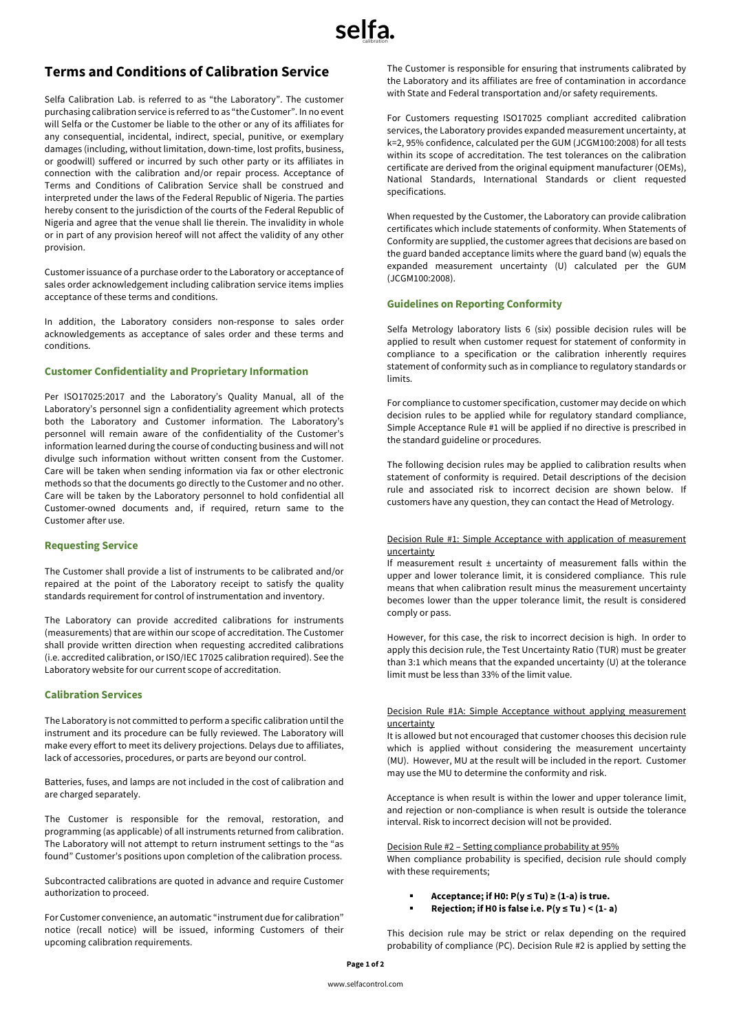# **Terms and Conditions of Calibration Service**

Selfa Calibration Lab. is referred to as "the Laboratory". The customer purchasing calibration service is referred to as "the Customer". In no event will Selfa or the Customer be liable to the other or any of its affiliates for any consequential, incidental, indirect, special, punitive, or exemplary damages (including, without limitation, down-time, lost profits, business, or goodwill) suffered or incurred by such other party or its affiliates in connection with the calibration and/or repair process. Acceptance of Terms and Conditions of Calibration Service shall be construed and interpreted under the laws of the Federal Republic of Nigeria. The parties hereby consent to the jurisdiction of the courts of the Federal Republic of Nigeria and agree that the venue shall lie therein. The invalidity in whole or in part of any provision hereof will not affect the validity of any other provision.

Customer issuance of a purchase order to the Laboratory or acceptance of sales order acknowledgement including calibration service items implies acceptance of these terms and conditions.

In addition, the Laboratory considers non-response to sales order acknowledgements as acceptance of sales order and these terms and conditions.

### **Customer Confidentiality and Proprietary Information**

Per ISO17025:2017 and the Laboratory's Quality Manual, all of the Laboratory's personnel sign a confidentiality agreement which protects both the Laboratory and Customer information. The Laboratory's personnel will remain aware of the confidentiality of the Customer's information learned during the course of conducting business and will not divulge such information without written consent from the Customer. Care will be taken when sending information via fax or other electronic methods so that the documents go directly to the Customer and no other. Care will be taken by the Laboratory personnel to hold confidential all Customer-owned documents and, if required, return same to the Customer after use.

### **Requesting Service**

The Customer shall provide a list of instruments to be calibrated and/or repaired at the point of the Laboratory receipt to satisfy the quality standards requirement for control of instrumentation and inventory.

The Laboratory can provide accredited calibrations for instruments (measurements) that are within our scope of accreditation. The Customer shall provide written direction when requesting accredited calibrations (i.e. accredited calibration, or ISO/IEC 17025 calibration required). See the Laboratory website for our current scope of accreditation.

### **Calibration Services**

The Laboratory is not committed to perform a specific calibration until the instrument and its procedure can be fully reviewed. The Laboratory will make every effort to meet its delivery projections. Delays due to affiliates, lack of accessories, procedures, or parts are beyond our control.

Batteries, fuses, and lamps are not included in the cost of calibration and are charged separately.

The Customer is responsible for the removal, restoration, and programming (as applicable) of all instruments returned from calibration. The Laboratory will not attempt to return instrument settings to the "as found" Customer's positions upon completion of the calibration process.

Subcontracted calibrations are quoted in advance and require Customer authorization to proceed.

For Customer convenience, an automatic "instrument due for calibration" notice (recall notice) will be issued, informing Customers of their upcoming calibration requirements.

The Customer is responsible for ensuring that instruments calibrated by the Laboratory and its affiliates are free of contamination in accordance with State and Federal transportation and/or safety requirements.

For Customers requesting ISO17025 compliant accredited calibration services, the Laboratory provides expanded measurement uncertainty, at k=2, 95% confidence, calculated per the GUM (JCGM100:2008) for all tests within its scope of accreditation. The test tolerances on the calibration certificate are derived from the original equipment manufacturer (OEMs), National Standards, International Standards or client requested specifications.

When requested by the Customer, the Laboratory can provide calibration certificates which include statements of conformity. When Statements of Conformity are supplied, the customer agrees that decisions are based on the guard banded acceptance limits where the guard band (w) equals the expanded measurement uncertainty (U) calculated per the GUM (JCGM100:2008).

### **Guidelines on Reporting Conformity**

Selfa Metrology laboratory lists 6 (six) possible decision rules will be applied to result when customer request for statement of conformity in compliance to a specification or the calibration inherently requires statement of conformity such as in compliance to regulatory standards or limits.

For compliance to customer specification, customer may decide on which decision rules to be applied while for regulatory standard compliance, Simple Acceptance Rule #1 will be applied if no directive is prescribed in the standard guideline or procedures.

The following decision rules may be applied to calibration results when statement of conformity is required. Detail descriptions of the decision rule and associated risk to incorrect decision are shown below. If customers have any question, they can contact the Head of Metrology.

### Decision Rule #1: Simple Acceptance with application of measurement uncertainty

If measurement result  $\pm$  uncertainty of measurement falls within the upper and lower tolerance limit, it is considered compliance. This rule means that when calibration result minus the measurement uncertainty becomes lower than the upper tolerance limit, the result is considered comply or pass.

However, for this case, the risk to incorrect decision is high. In order to apply this decision rule, the Test Uncertainty Ratio (TUR) must be greater than 3:1 which means that the expanded uncertainty (U) at the tolerance limit must be less than 33% of the limit value.

### Decision Rule #1A: Simple Acceptance without applying measurement uncertainty

It is allowed but not encouraged that customer chooses this decision rule which is applied without considering the measurement uncertainty (MU). However, MU at the result will be included in the report. Customer may use the MU to determine the conformity and risk.

Acceptance is when result is within the lower and upper tolerance limit, and rejection or non-compliance is when result is outside the tolerance interval. Risk to incorrect decision will not be provided.

### Decision Rule #2 – Setting compliance probability at 95%

When compliance probability is specified, decision rule should comply with these requirements:

## § **Acceptance; if H0: P(y ≤ Tu) ≥ (1-a) is true.**

§ **Rejection; if H0 is false i.e. P(y ≤ Tu ) < (1- a)**

This decision rule may be strict or relax depending on the required probability of compliance (PC). Decision Rule #2 is applied by setting the